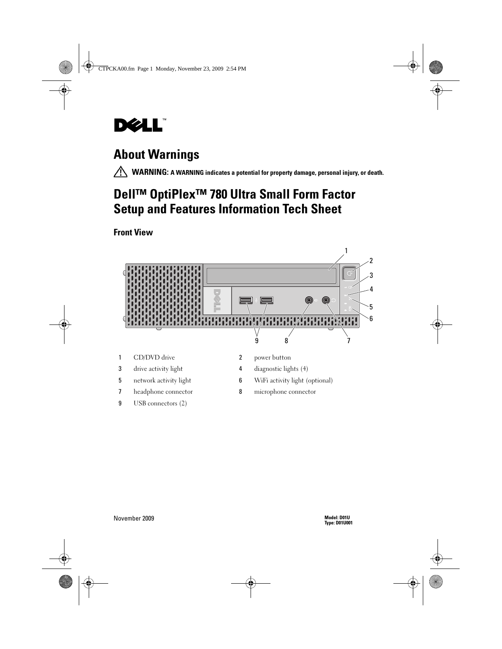

# About Warnings

 $\bigwedge$  WARNING: A WARNING indicates a potential for property damage, personal injury, or death.

# Dell™ OptiPlex<sup>™</sup> 780 Ultra Small Form Factor Setup and Features Information Tech Sheet

## Front View



- 
- 
- 
- 9 USB connectors (2)
- 3 drive activity light 4 diagnostic lights (4)
- 5 network activity light 6 WiFi activity light (optional)
- 7 headphone connector 8 microphone connector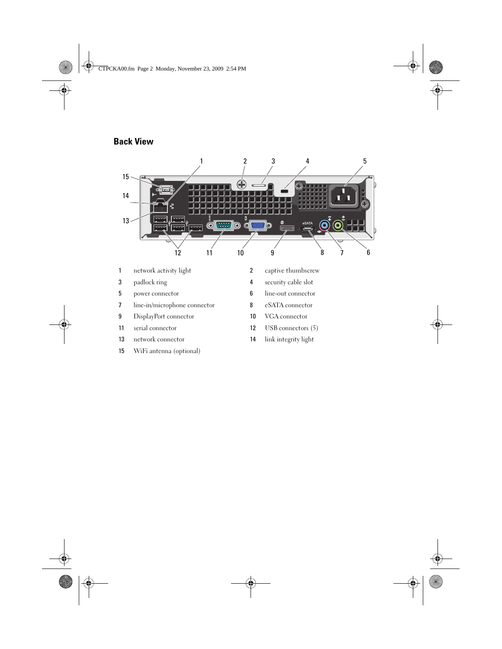## Back View



- 
- network connector 14 link integrity light
- WiFi antenna (optional)
- 
- 11 serial connector 12 USB connectors (5)
	-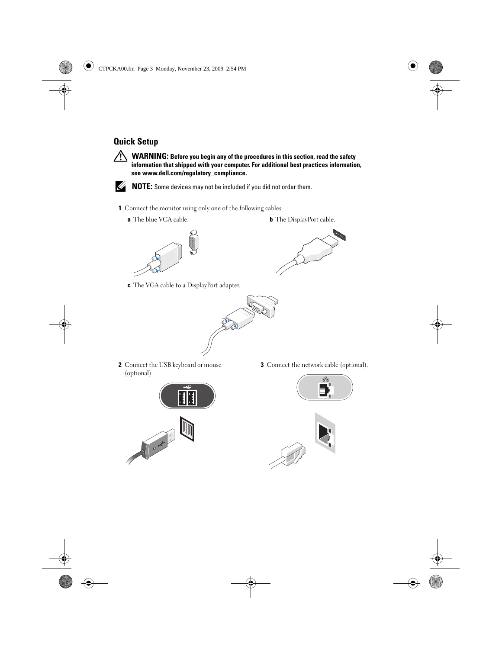## Quick Setup

 $\bigwedge$  WARNING: Before you begin any of the procedures in this section, read the safety information that shipped with your computer. For additional best practices information, see www.dell.com/regulatory\_compliance.



NOTE: Some devices may not be included if you did not order them.

- 1 Connect the monitor using only one of the following cables:
	-

**a** The blue VGA cable. **b** The DisplayPort cable.





c The VGA cable to a DisplayPort adapter.



2 Connect the USB keyboard or mouse (optional).



3 Connect the network cable (optional).



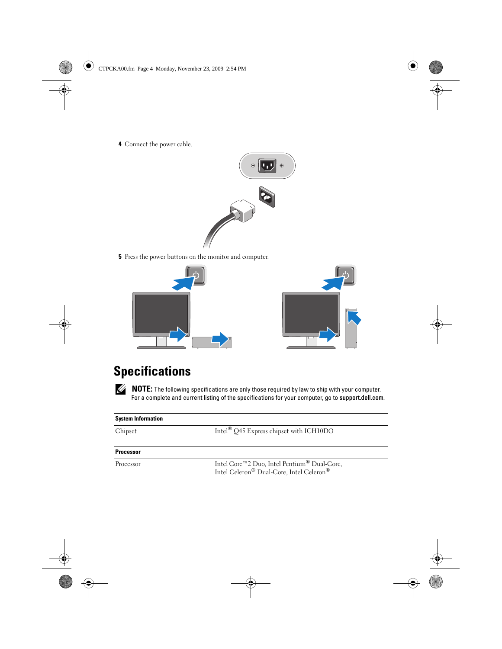4 Connect the power cable.



5 Press the power buttons on the monitor and computer.





# **Specifications**

 $\mathscr{U}$  NOTE: The following specifications are only those required by law to ship with your computer. For a complete and current listing of the specifications for your computer, go to support.dell.com.

| <b>System Information</b> |                                                                                         |
|---------------------------|-----------------------------------------------------------------------------------------|
| Chipset                   | Intel <sup>®</sup> O45 Express chipset with ICH10DO                                     |
| <b>Processor</b>          |                                                                                         |
| Processor                 | Intel Core™2 Duo, Intel Pentium® Dual-Core,<br>Intel Celeron® Dual-Core, Intel Celeron® |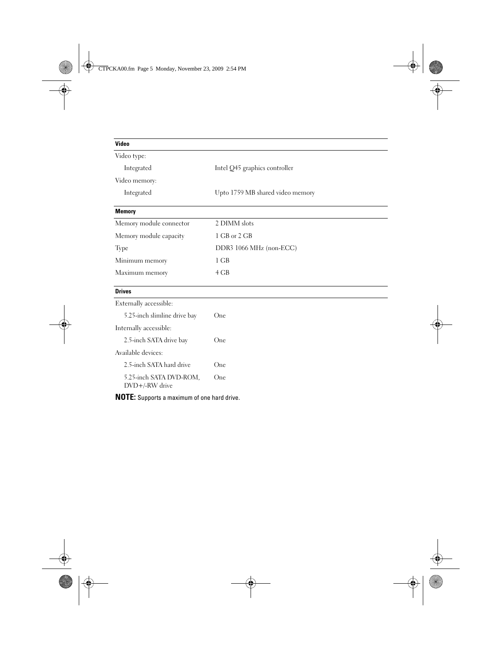| Video                                     |                                  |
|-------------------------------------------|----------------------------------|
| Video type:                               |                                  |
| Integrated                                | Intel Q45 graphics controller    |
| Video memory:                             |                                  |
| Integrated                                | Upto 1759 MB shared video memory |
| <b>Memory</b>                             |                                  |
| Memory module connector                   | 2 DIMM slots                     |
| Memory module capacity                    | 1 GB or 2 GB                     |
| Type                                      | DDR3 1066 MHz (non-ECC)          |
| Minimum memory                            | 1 GB                             |
| Maximum memory                            | 4 GB                             |
| <b>Drives</b>                             |                                  |
| Externally accessible:                    |                                  |
| 5.25-inch slimline drive bay              | One                              |
| Internally accessible:                    |                                  |
| 2.5-inch SATA drive bay                   | One                              |
| Available devices:                        |                                  |
| 2.5-inch SATA hard drive                  | One                              |
| 5.25-inch SATA DVD-ROM,<br>DVD+/-RW drive | One                              |

NOTE: Supports a maximum of one hard drive.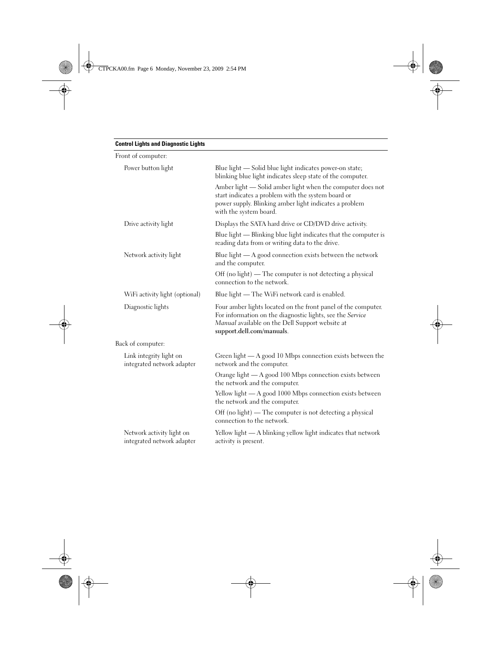| Front of computer:                                      |                                                                                                                                                                                                                   |
|---------------------------------------------------------|-------------------------------------------------------------------------------------------------------------------------------------------------------------------------------------------------------------------|
| Power button light                                      | Blue light - Solid blue light indicates power-on state;<br>blinking blue light indicates sleep state of the computer.                                                                                             |
|                                                         | Amber light - Solid amber light when the computer does not<br>start indicates a problem with the system board or<br>power supply. Blinking amber light indicates a problem<br>with the system board.              |
| Drive activity light                                    | Displays the SATA hard drive or CD/DVD drive activity.                                                                                                                                                            |
|                                                         | Blue light — Blinking blue light indicates that the computer is<br>reading data from or writing data to the drive.                                                                                                |
| Network activity light                                  | Blue light $-A$ good connection exists between the network<br>and the computer.                                                                                                                                   |
|                                                         | Off (no light) — The computer is not detecting a physical<br>connection to the network.                                                                                                                           |
| WiFi activity light (optional)                          | Blue light - The WiFi network card is enabled.                                                                                                                                                                    |
| Diagnostic lights                                       | Four amber lights located on the front panel of the computer.<br>For information on the diagnostic lights, see the Service<br><i>Manual</i> available on the Dell Support website at<br>support.dell.com/manuals. |
| Back of computer:                                       |                                                                                                                                                                                                                   |
| Link integrity light on<br>integrated network adapter   | Green light $- A$ good 10 Mbps connection exists between the<br>network and the computer.                                                                                                                         |
|                                                         | Orange light - A good 100 Mbps connection exists between<br>the network and the computer.                                                                                                                         |
|                                                         | Yellow light — A good 1000 Mbps connection exists between<br>the network and the computer.                                                                                                                        |
|                                                         | Off (no light) — The computer is not detecting a physical<br>connection to the network.                                                                                                                           |
| Network activity light on<br>integrated network adapter | Yellow light - A blinking yellow light indicates that network<br>activity is present.                                                                                                                             |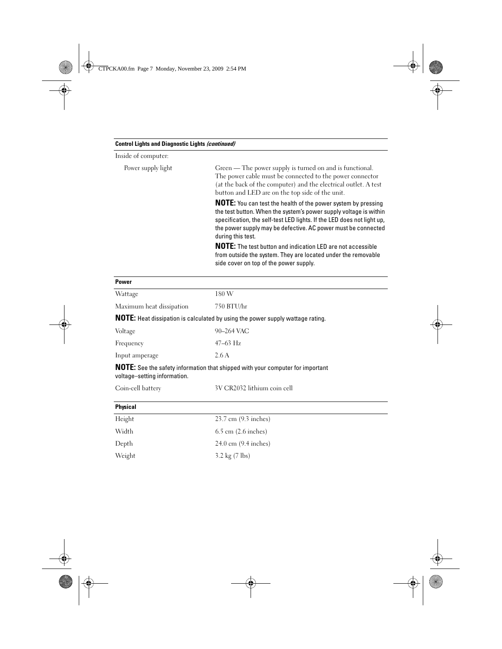#### Control Lights and Diagnostic Lights (continued)

Inside of computer:

Power supply light

| Green — The power supply is turned on and is functional.        |
|-----------------------------------------------------------------|
| The power cable must be connected to the power connector        |
| (at the back of the computer) and the electrical outlet. A test |
| button and LED are on the top side of the unit.                 |

**NOTE:** You can test the health of the power system by pressing the test button. When the system's power supply voltage is within specification, the self-test LED lights. If the LED does not light up, the power supply may be defective. AC power must be connected during this test.

NOTE: The test button and indication LED are not accessible from outside the system. They are located under the removable side cover on top of the power supply.

| <b>Power</b>                                                                   |                                                                                |  |  |  |
|--------------------------------------------------------------------------------|--------------------------------------------------------------------------------|--|--|--|
| Wattage                                                                        | 180 W                                                                          |  |  |  |
| Maximum heat dissipation                                                       | 750 BTU/hr                                                                     |  |  |  |
| NOTE: Heat dissipation is calculated by using the power supply wattage rating. |                                                                                |  |  |  |
| Voltage                                                                        | 90-264 VAC                                                                     |  |  |  |
| Frequency                                                                      | $47-63$ Hz                                                                     |  |  |  |
| Input amperage                                                                 | 2.6A                                                                           |  |  |  |
| voltage-setting information.                                                   | NOTE: See the safety information that shipped with your computer for important |  |  |  |
| Coin-cell battery                                                              | 3V CR2032 lithium coin cell                                                    |  |  |  |
| <b>Physical</b>                                                                |                                                                                |  |  |  |
| Height                                                                         | 23.7 cm (9.3 inches)                                                           |  |  |  |
| Width                                                                          | $6.5$ cm $(2.6$ inches)                                                        |  |  |  |
| Depth                                                                          | 24.0 cm (9.4 inches)                                                           |  |  |  |
| Weight                                                                         | 3.2 kg $(7 \text{ lbs})$                                                       |  |  |  |